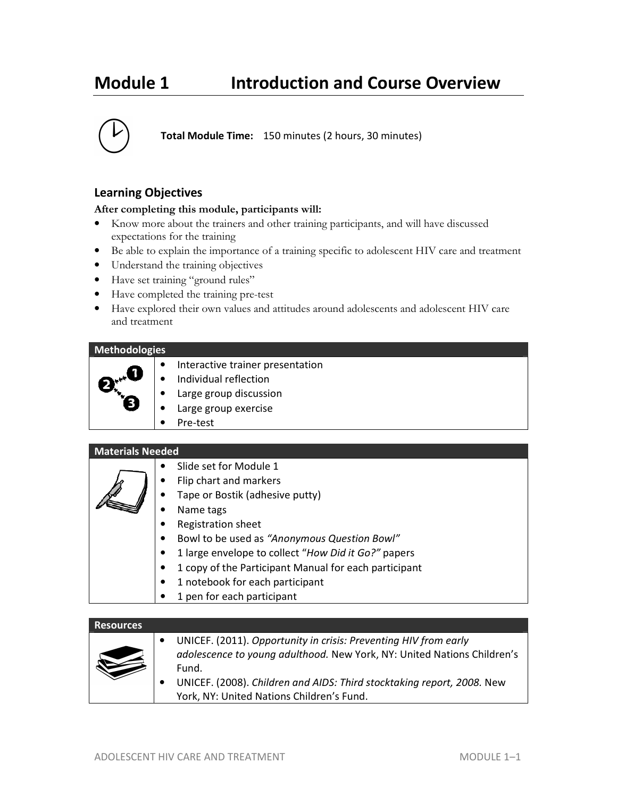# **Module 1 Introduction and Course Overview**



### **Learning Objectives**

#### **After completing this module, participants will:**

- Know more about the trainers and other training participants, and will have discussed expectations for the training
- Be able to explain the importance of a training specific to adolescent HIV care and treatment
- Understand the training objectives
- Have set training "ground rules"
- Have completed the training pre-test
- Have explored their own values and attitudes around adolescents and adolescent HIV care and treatment

#### **Methodologies**



- Individual reflection
- Large group discussion
- Large group exercise
- Pre-test

#### **Materials Needed**

| Slide set for Module 1<br>$\bullet$                                |
|--------------------------------------------------------------------|
| Flip chart and markers<br>$\bullet$                                |
| Tape or Bostik (adhesive putty)<br>$\bullet$                       |
| Name tags                                                          |
| Registration sheet                                                 |
| Bowl to be used as "Anonymous Question Bowl"<br>$\bullet$          |
| 1 large envelope to collect "How Did it Go?" papers<br>$\bullet$   |
| 1 copy of the Participant Manual for each participant<br>$\bullet$ |
| 1 notebook for each participant                                    |
|                                                                    |

1 pen for each participant

#### **Resources**

|--|

- UNICEF. (2011). *Opportunity in crisis: Preventing HIV from early adolescence to young adulthood.* New York, NY: United Nations Children's Fund.
- UNICEF. (2008). *Children and AIDS: Third stocktaking report, 2008.* New York, NY: United Nations Children's Fund.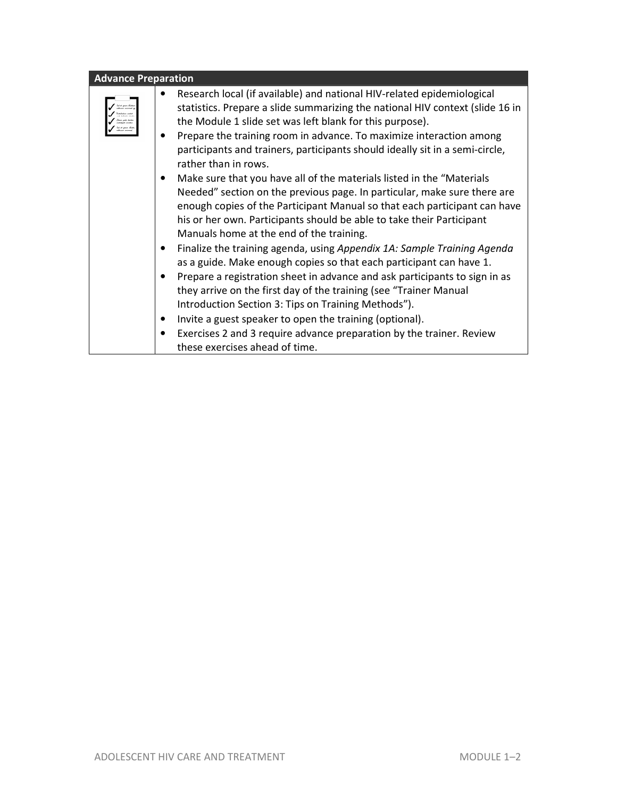| <b>Advance Preparation</b> |                                                                                                                                                                                                                                                                                                                                                                                                                                                                                                                                                                                                                                                                                                                                                                                                                                                                                                                                                                                                                                                                                                                                                                                                                                                                                             |
|----------------------------|---------------------------------------------------------------------------------------------------------------------------------------------------------------------------------------------------------------------------------------------------------------------------------------------------------------------------------------------------------------------------------------------------------------------------------------------------------------------------------------------------------------------------------------------------------------------------------------------------------------------------------------------------------------------------------------------------------------------------------------------------------------------------------------------------------------------------------------------------------------------------------------------------------------------------------------------------------------------------------------------------------------------------------------------------------------------------------------------------------------------------------------------------------------------------------------------------------------------------------------------------------------------------------------------|
|                            | Research local (if available) and national HIV-related epidemiological<br>statistics. Prepare a slide summarizing the national HIV context (slide 16 in<br>the Module 1 slide set was left blank for this purpose).<br>Prepare the training room in advance. To maximize interaction among<br>participants and trainers, participants should ideally sit in a semi-circle,<br>rather than in rows.<br>Make sure that you have all of the materials listed in the "Materials"<br>Needed" section on the previous page. In particular, make sure there are<br>enough copies of the Participant Manual so that each participant can have<br>his or her own. Participants should be able to take their Participant<br>Manuals home at the end of the training.<br>Finalize the training agenda, using Appendix 1A: Sample Training Agenda<br>as a guide. Make enough copies so that each participant can have 1.<br>Prepare a registration sheet in advance and ask participants to sign in as<br>they arrive on the first day of the training (see "Trainer Manual<br>Introduction Section 3: Tips on Training Methods").<br>Invite a guest speaker to open the training (optional).<br>Exercises 2 and 3 require advance preparation by the trainer. Review<br>these exercises ahead of time. |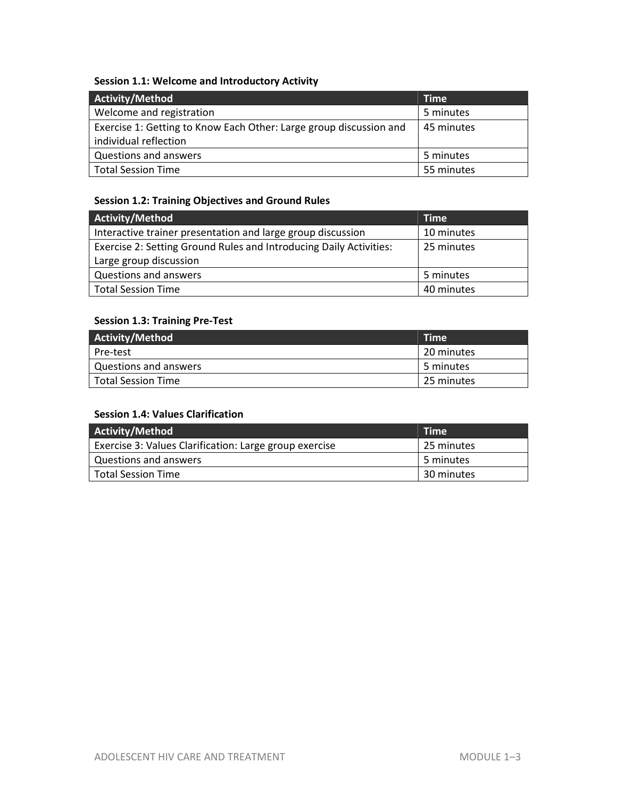### **Session 1.1: Welcome and Introductory Activity**

| <b>Activity/Method</b>                                                                      | <b>Time</b> |
|---------------------------------------------------------------------------------------------|-------------|
| Welcome and registration                                                                    | 5 minutes   |
| Exercise 1: Getting to Know Each Other: Large group discussion and<br>individual reflection | 45 minutes  |
| Questions and answers                                                                       | 5 minutes   |
| <b>Total Session Time</b>                                                                   | 55 minutes  |

### **Session 1.2: Training Objectives and Ground Rules**

| <b>Activity/Method</b>                                                    | <b>Time</b> |
|---------------------------------------------------------------------------|-------------|
| Interactive trainer presentation and large group discussion<br>10 minutes |             |
| Exercise 2: Setting Ground Rules and Introducing Daily Activities:        | 25 minutes  |
| Large group discussion                                                    |             |
| Questions and answers                                                     | 5 minutes   |
| <b>Total Session Time</b>                                                 | 40 minutes  |

#### **Session 1.3: Training Pre-Test**

| Activity/Method       | Time       |
|-----------------------|------------|
| Pre-test              | 20 minutes |
| Questions and answers | 5 minutes  |
| l Total Session Time  | 25 minutes |

#### **Session 1.4: Values Clarification**

| Activity/Method                                        | <b>Time</b> |
|--------------------------------------------------------|-------------|
| Exercise 3: Values Clarification: Large group exercise | 25 minutes  |
| <b>Questions and answers</b>                           | 5 minutes   |
| <b>Total Session Time</b>                              | 30 minutes  |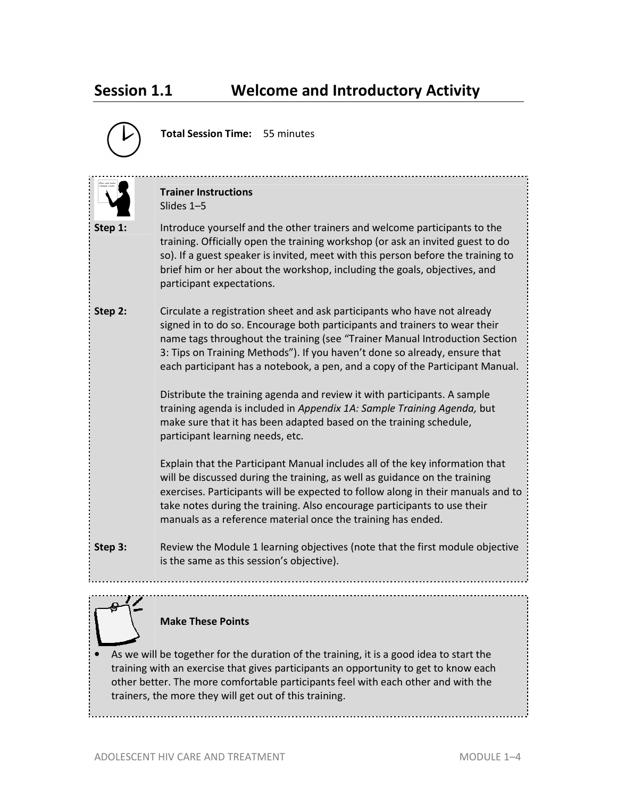# **Session 1.1 Welcome and Introductory Activity**



**Total Session Time:** 55 minutes

|                                                                                                                                                                                                                                                                                                                                | <b>Trainer Instructions</b><br>Slides 1-5                                                                                                                                                                                                                                                                                                                                                                                                                                                                                                                                                                                                                             |
|--------------------------------------------------------------------------------------------------------------------------------------------------------------------------------------------------------------------------------------------------------------------------------------------------------------------------------|-----------------------------------------------------------------------------------------------------------------------------------------------------------------------------------------------------------------------------------------------------------------------------------------------------------------------------------------------------------------------------------------------------------------------------------------------------------------------------------------------------------------------------------------------------------------------------------------------------------------------------------------------------------------------|
| Step 1:                                                                                                                                                                                                                                                                                                                        | Introduce yourself and the other trainers and welcome participants to the<br>training. Officially open the training workshop (or ask an invited guest to do<br>so). If a guest speaker is invited, meet with this person before the training to<br>brief him or her about the workshop, including the goals, objectives, and<br>participant expectations.                                                                                                                                                                                                                                                                                                             |
| Step 2:                                                                                                                                                                                                                                                                                                                        | Circulate a registration sheet and ask participants who have not already<br>signed in to do so. Encourage both participants and trainers to wear their<br>name tags throughout the training (see "Trainer Manual Introduction Section<br>3: Tips on Training Methods"). If you haven't done so already, ensure that<br>each participant has a notebook, a pen, and a copy of the Participant Manual.<br>Distribute the training agenda and review it with participants. A sample<br>training agenda is included in Appendix 1A: Sample Training Agenda, but<br>make sure that it has been adapted based on the training schedule,<br>participant learning needs, etc. |
|                                                                                                                                                                                                                                                                                                                                | Explain that the Participant Manual includes all of the key information that<br>will be discussed during the training, as well as guidance on the training<br>exercises. Participants will be expected to follow along in their manuals and to<br>take notes during the training. Also encourage participants to use their<br>manuals as a reference material once the training has ended.                                                                                                                                                                                                                                                                            |
| Step 3:                                                                                                                                                                                                                                                                                                                        | Review the Module 1 learning objectives (note that the first module objective<br>is the same as this session's objective).                                                                                                                                                                                                                                                                                                                                                                                                                                                                                                                                            |
|                                                                                                                                                                                                                                                                                                                                | <b>Make These Points</b>                                                                                                                                                                                                                                                                                                                                                                                                                                                                                                                                                                                                                                              |
| As we will be together for the duration of the training, it is a good idea to start the<br>training with an exercise that gives participants an opportunity to get to know each<br>other better. The more comfortable participants feel with each other and with the<br>trainers, the more they will get out of this training. |                                                                                                                                                                                                                                                                                                                                                                                                                                                                                                                                                                                                                                                                       |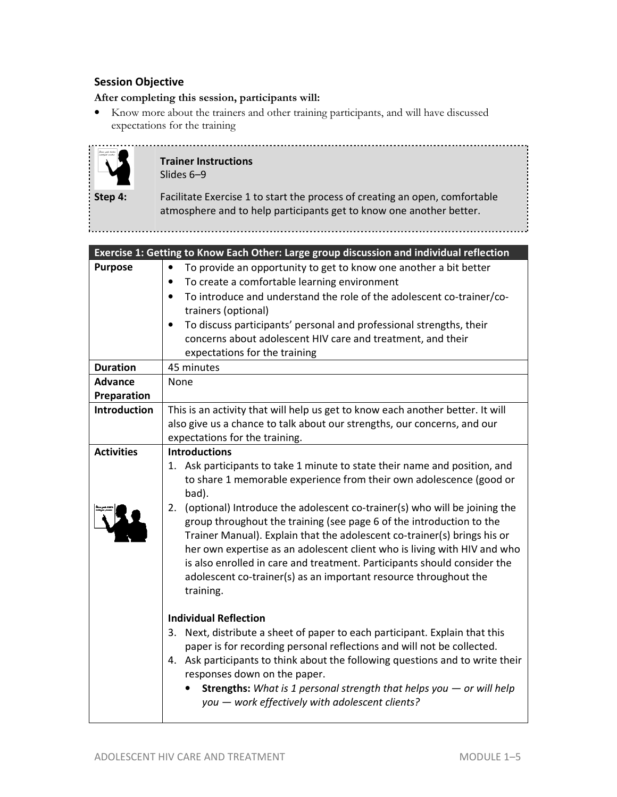#### **Session Objective**

#### **After completing this session, participants will:**

• Know more about the trainers and other training participants, and will have discussed expectations for the training



**Trainer Instructions**  Slides 6–9

**Step 4:** Facilitate Exercise 1 to start the process of creating an open, comfortable atmosphere and to help participants get to know one another better.

|                               | Exercise 1: Getting to Know Each Other: Large group discussion and individual reflection                                                                                                                                                                                                                                                                                                                                                                                                                                                                                                                                                                           |
|-------------------------------|--------------------------------------------------------------------------------------------------------------------------------------------------------------------------------------------------------------------------------------------------------------------------------------------------------------------------------------------------------------------------------------------------------------------------------------------------------------------------------------------------------------------------------------------------------------------------------------------------------------------------------------------------------------------|
| <b>Purpose</b>                | To provide an opportunity to get to know one another a bit better<br>$\bullet$<br>To create a comfortable learning environment                                                                                                                                                                                                                                                                                                                                                                                                                                                                                                                                     |
|                               | To introduce and understand the role of the adolescent co-trainer/co-<br>trainers (optional)<br>To discuss participants' personal and professional strengths, their<br>$\bullet$<br>concerns about adolescent HIV care and treatment, and their<br>expectations for the training                                                                                                                                                                                                                                                                                                                                                                                   |
| <b>Duration</b>               | 45 minutes                                                                                                                                                                                                                                                                                                                                                                                                                                                                                                                                                                                                                                                         |
| <b>Advance</b><br>Preparation | None                                                                                                                                                                                                                                                                                                                                                                                                                                                                                                                                                                                                                                                               |
| <b>Introduction</b>           | This is an activity that will help us get to know each another better. It will<br>also give us a chance to talk about our strengths, our concerns, and our<br>expectations for the training.                                                                                                                                                                                                                                                                                                                                                                                                                                                                       |
| <b>Activities</b>             | <b>Introductions</b><br>1. Ask participants to take 1 minute to state their name and position, and<br>to share 1 memorable experience from their own adolescence (good or<br>bad).<br>(optional) Introduce the adolescent co-trainer(s) who will be joining the<br>2.<br>group throughout the training (see page 6 of the introduction to the<br>Trainer Manual). Explain that the adolescent co-trainer(s) brings his or<br>her own expertise as an adolescent client who is living with HIV and who<br>is also enrolled in care and treatment. Participants should consider the<br>adolescent co-trainer(s) as an important resource throughout the<br>training. |
|                               | <b>Individual Reflection</b><br>3. Next, distribute a sheet of paper to each participant. Explain that this<br>paper is for recording personal reflections and will not be collected.<br>4. Ask participants to think about the following questions and to write their<br>responses down on the paper.<br><b>Strengths:</b> What is 1 personal strength that helps you $-$ or will help<br>you - work effectively with adolescent clients?                                                                                                                                                                                                                         |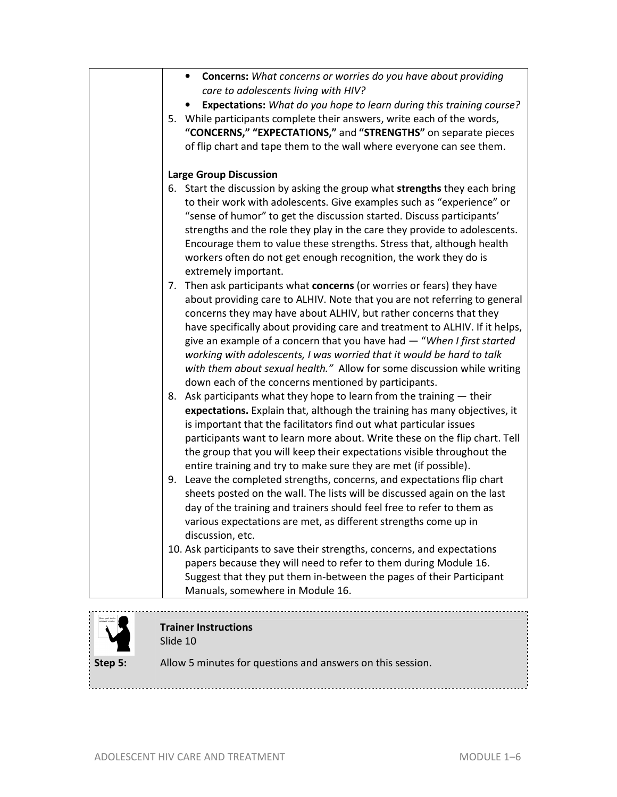| • Concerns: What concerns or worries do you have about providing                         |
|------------------------------------------------------------------------------------------|
| care to adolescents living with HIV?                                                     |
| <b>Expectations:</b> What do you hope to learn during this training course?              |
| 5. While participants complete their answers, write each of the words,                   |
| "CONCERNS," "EXPECTATIONS," and "STRENGTHS" on separate pieces                           |
| of flip chart and tape them to the wall where everyone can see them.                     |
|                                                                                          |
| <b>Large Group Discussion</b>                                                            |
| 6. Start the discussion by asking the group what strengths they each bring               |
| to their work with adolescents. Give examples such as "experience" or                    |
| "sense of humor" to get the discussion started. Discuss participants'                    |
| strengths and the role they play in the care they provide to adolescents.                |
| Encourage them to value these strengths. Stress that, although health                    |
|                                                                                          |
| workers often do not get enough recognition, the work they do is<br>extremely important. |
|                                                                                          |
| 7. Then ask participants what concerns (or worries or fears) they have                   |
| about providing care to ALHIV. Note that you are not referring to general                |
| concerns they may have about ALHIV, but rather concerns that they                        |
| have specifically about providing care and treatment to ALHIV. If it helps,              |
| give an example of a concern that you have had - "When I first started                   |
| working with adolescents, I was worried that it would be hard to talk                    |
| with them about sexual health." Allow for some discussion while writing                  |
| down each of the concerns mentioned by participants.                                     |
| 8. Ask participants what they hope to learn from the training - their                    |
| expectations. Explain that, although the training has many objectives, it                |
| is important that the facilitators find out what particular issues                       |
| participants want to learn more about. Write these on the flip chart. Tell               |
| the group that you will keep their expectations visible throughout the                   |
| entire training and try to make sure they are met (if possible).                         |
| Leave the completed strengths, concerns, and expectations flip chart<br>9.               |
| sheets posted on the wall. The lists will be discussed again on the last                 |
| day of the training and trainers should feel free to refer to them as                    |
| various expectations are met, as different strengths come up in                          |
| discussion, etc.                                                                         |
| 10. Ask participants to save their strengths, concerns, and expectations                 |
| papers because they will need to refer to them during Module 16.                         |
| Suggest that they put them in-between the pages of their Participant                     |
| Manuals, somewhere in Module 16.                                                         |
|                                                                                          |
|                                                                                          |



#### **Trainer Instructions**  Slide 10

**Step 5:** Allow 5 minutes for questions and answers on this session.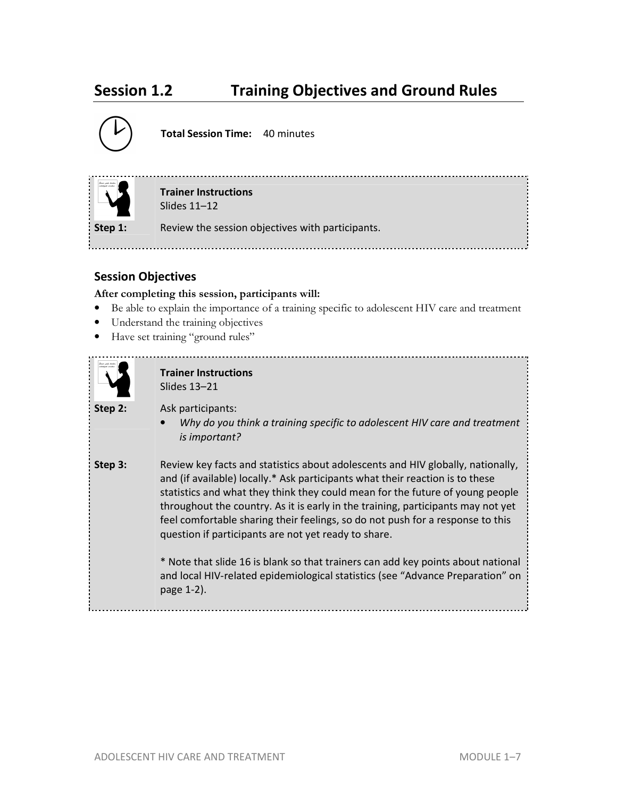# **Session 1.2 Training Objectives and Ground Rules**



**Total Session Time:** 40 minutes



**Trainer Instructions**  Slides 11–12

**Step 1:** Review the session objectives with participants.

## **Session Objectives**

**After completing this session, participants will:**

- Be able to explain the importance of a training specific to adolescent HIV care and treatment
- Understand the training objectives
- Have set training "ground rules"

| China polo karka<br>related reader |  |
|------------------------------------|--|
|                                    |  |
|                                    |  |
|                                    |  |
|                                    |  |

**Trainer Instructions**  Slides 13–21

**Step 2:** Ask participants:

• *Why do you think a training specific to adolescent HIV care and treatment is important?* 

**Step 3:** Review key facts and statistics about adolescents and HIV globally, nationally, and (if available) locally.\* Ask participants what their reaction is to these statistics and what they think they could mean for the future of young people throughout the country. As it is early in the training, participants may not yet feel comfortable sharing their feelings, so do not push for a response to this question if participants are not yet ready to share.

> \* Note that slide 16 is blank so that trainers can add key points about national and local HIV-related epidemiological statistics (see "Advance Preparation" on page 1-2).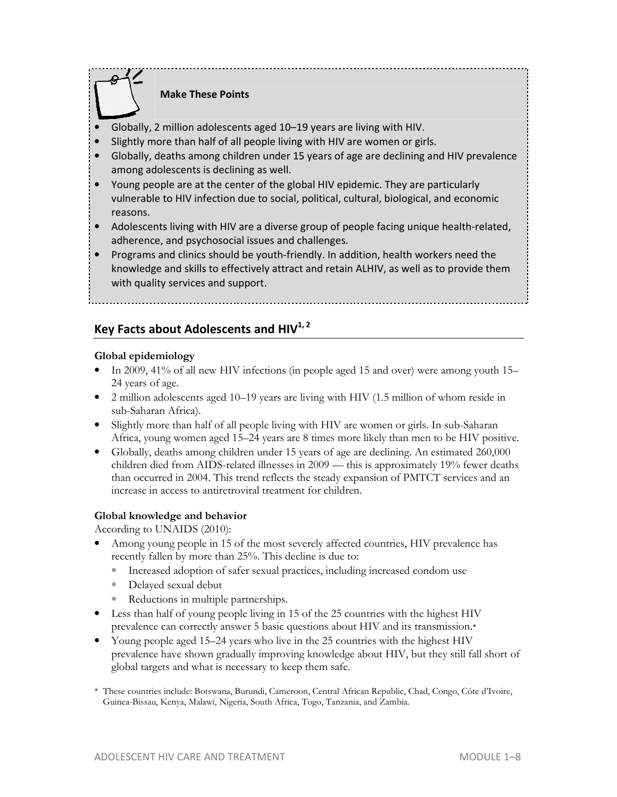## **Make These Points**

- Globally, 2 million adolescents aged 10–19 years are living with HIV.
- Slightly more than half of all people living with HIV are women or girls.
- Globally, deaths among children under 15 years of age are declining and HIV prevalence among adolescents is declining as well.
- Young people are at the center of the global HIV epidemic. They are particularly vulnerable to HIV infection due to social, political, cultural, biological, and economic reasons.
- Adolescents living with HIV are a diverse group of people facing unique health-related, adherence, and psychosocial issues and challenges.
- Programs and clinics should be youth-friendly. In addition, health workers need the knowledge and skills to effectively attract and retain ALHIV, as well as to provide them with quality services and support.

### **Key Facts about Adolescents and HIV1, 2**

#### **Global epidemiology**

- In 2009, 41% of all new HIV infections (in people aged 15 and over) were among youth 15– 24 years of age.
- 2 million adolescents aged 10–19 years are living with HIV (1.5 million of whom reside in sub-Saharan Africa).
- Slightly more than half of all people living with HIV are women or girls. In sub-Saharan Africa, young women aged 15–24 years are 8 times more likely than men to be HIV positive.
- Globally, deaths among children under 15 years of age are declining. An estimated 260,000 children died from AIDS-related illnesses in 2009 — this is approximately 19% fewer deaths than occurred in 2004. This trend reflects the steady expansion of PMTCT services and an increase in access to antiretroviral treatment for children.

#### **Global knowledge and behavior**

According to UNAIDS (2010):

- Among young people in 15 of the most severely affected countries, HIV prevalence has recently fallen by more than 25%. This decline is due to:
	- Increased adoption of safer sexual practices, including increased condom use
	- Delayed sexual debut
	- Reductions in multiple partnerships.
- Less than half of young people living in 15 of the 25 countries with the highest HIV prevalence can correctly answer 5 basic questions about HIV and its transmission.\*
- Young people aged 15–24 years who live in the 25 countries with the highest HIV prevalence have shown gradually improving knowledge about HIV, but they still fall short of global targets and what is necessary to keep them safe.
- \* These countries include: Botswana, Burundi, Cameroon, Central African Republic, Chad, Congo, Côte d'Ivoire, Guinea-Bissau, Kenya, Malawi, Nigeria, South Africa, Togo, Tanzania, and Zambia.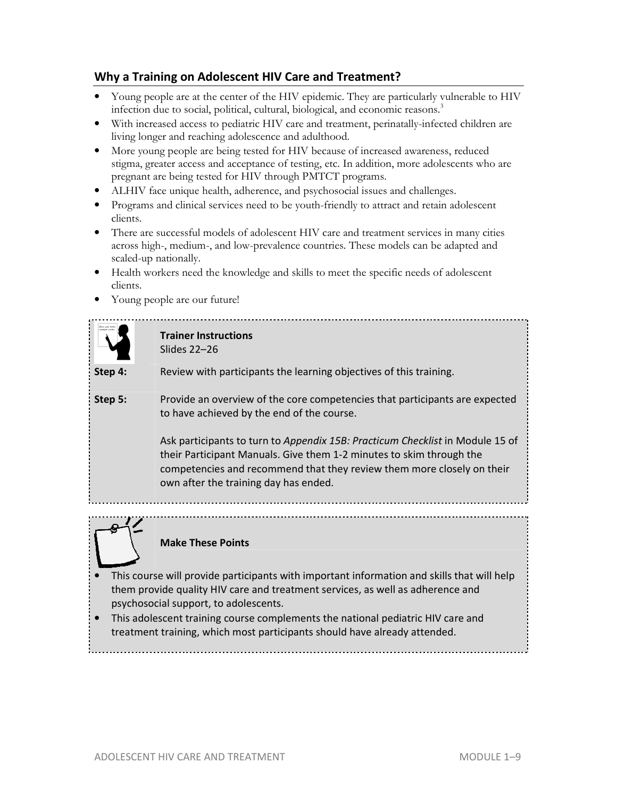## **Why a Training on Adolescent HIV Care and Treatment?**

- Young people are at the center of the HIV epidemic. They are particularly vulnerable to HIV infection due to social, political, cultural, biological, and economic reasons.<sup>3</sup>
- With increased access to pediatric HIV care and treatment, perinatally-infected children are living longer and reaching adolescence and adulthood.
- More young people are being tested for HIV because of increased awareness, reduced stigma, greater access and acceptance of testing, etc. In addition, more adolescents who are pregnant are being tested for HIV through PMTCT programs.
- ALHIV face unique health, adherence, and psychosocial issues and challenges.
- Programs and clinical services need to be youth-friendly to attract and retain adolescent clients.
- There are successful models of adolescent HIV care and treatment services in many cities across high-, medium-, and low-prevalence countries. These models can be adapted and scaled-up nationally.
- Health workers need the knowledge and skills to meet the specific needs of adolescent clients.
- Young people are our future!





#### **Make These Points**

- This course will provide participants with important information and skills that will help them provide quality HIV care and treatment services, as well as adherence and psychosocial support, to adolescents.
- This adolescent training course complements the national pediatric HIV care and treatment training, which most participants should have already attended.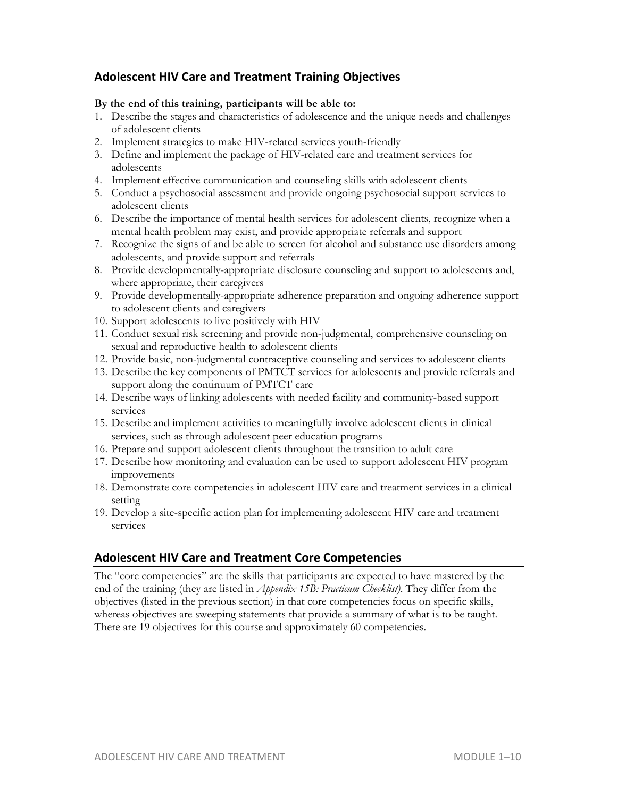### **Adolescent HIV Care and Treatment Training Objectives**

#### **By the end of this training, participants will be able to:**

- 1. Describe the stages and characteristics of adolescence and the unique needs and challenges of adolescent clients
- 2. Implement strategies to make HIV-related services youth-friendly
- 3. Define and implement the package of HIV-related care and treatment services for adolescents
- 4. Implement effective communication and counseling skills with adolescent clients
- 5. Conduct a psychosocial assessment and provide ongoing psychosocial support services to adolescent clients
- 6. Describe the importance of mental health services for adolescent clients, recognize when a mental health problem may exist, and provide appropriate referrals and support
- 7. Recognize the signs of and be able to screen for alcohol and substance use disorders among adolescents, and provide support and referrals
- 8. Provide developmentally-appropriate disclosure counseling and support to adolescents and, where appropriate, their caregivers
- 9. Provide developmentally-appropriate adherence preparation and ongoing adherence support to adolescent clients and caregivers
- 10. Support adolescents to live positively with HIV
- 11. Conduct sexual risk screening and provide non-judgmental, comprehensive counseling on sexual and reproductive health to adolescent clients
- 12. Provide basic, non-judgmental contraceptive counseling and services to adolescent clients
- 13. Describe the key components of PMTCT services for adolescents and provide referrals and support along the continuum of PMTCT care
- 14. Describe ways of linking adolescents with needed facility and community-based support services
- 15. Describe and implement activities to meaningfully involve adolescent clients in clinical services, such as through adolescent peer education programs
- 16. Prepare and support adolescent clients throughout the transition to adult care
- 17. Describe how monitoring and evaluation can be used to support adolescent HIV program improvements
- 18. Demonstrate core competencies in adolescent HIV care and treatment services in a clinical setting
- 19. Develop a site-specific action plan for implementing adolescent HIV care and treatment services

#### **Adolescent HIV Care and Treatment Core Competencies**

The "core competencies" are the skills that participants are expected to have mastered by the end of the training (they are listed in *Appendix 15B: Practicum Checklist)*. They differ from the objectives (listed in the previous section) in that core competencies focus on specific skills, whereas objectives are sweeping statements that provide a summary of what is to be taught. There are 19 objectives for this course and approximately 60 competencies.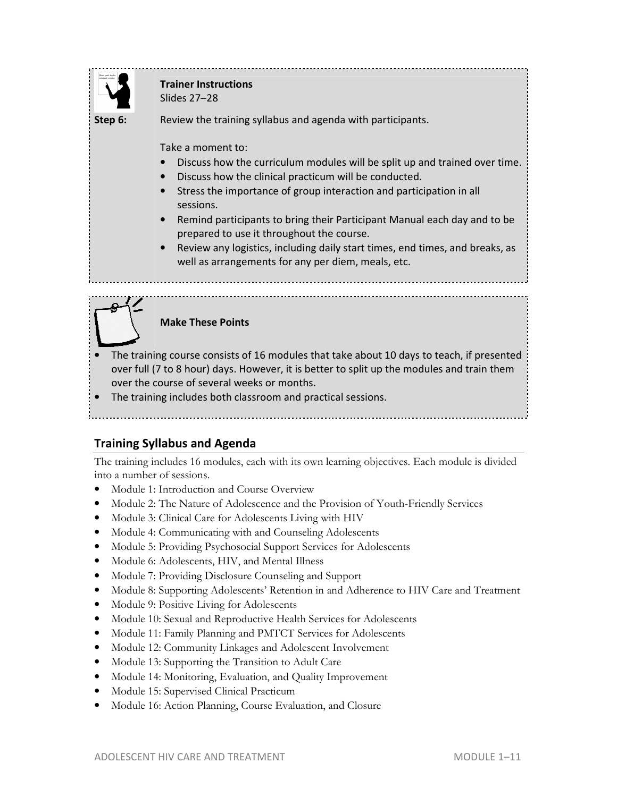

# **Trainer Instructions**

Slides 27–28

**Step 6:** Review the training syllabus and agenda with participants.

Take a moment to:

- Discuss how the curriculum modules will be split up and trained over time.
- Discuss how the clinical practicum will be conducted.
- Stress the importance of group interaction and participation in all sessions.
- Remind participants to bring their Participant Manual each day and to be prepared to use it throughout the course.
- Review any logistics, including daily start times, end times, and breaks, as well as arrangements for any per diem, meals, etc.

## **Make These Points**

- The training course consists of 16 modules that take about 10 days to teach, if presented over full (7 to 8 hour) days. However, it is better to split up the modules and train them over the course of several weeks or months.
- The training includes both classroom and practical sessions.

# **Training Syllabus and Agenda**

The training includes 16 modules, each with its own learning objectives. Each module is divided into a number of sessions.

- Module 1: Introduction and Course Overview
- Module 2: The Nature of Adolescence and the Provision of Youth-Friendly Services
- Module 3: Clinical Care for Adolescents Living with HIV
- Module 4: Communicating with and Counseling Adolescents
- Module 5: Providing Psychosocial Support Services for Adolescents
- Module 6: Adolescents, HIV, and Mental Illness
- Module 7: Providing Disclosure Counseling and Support
- Module 8: Supporting Adolescents' Retention in and Adherence to HIV Care and Treatment
- Module 9: Positive Living for Adolescents
- Module 10: Sexual and Reproductive Health Services for Adolescents
- Module 11: Family Planning and PMTCT Services for Adolescents
- Module 12: Community Linkages and Adolescent Involvement
- Module 13: Supporting the Transition to Adult Care
- Module 14: Monitoring, Evaluation, and Quality Improvement
- Module 15: Supervised Clinical Practicum
- Module 16: Action Planning, Course Evaluation, and Closure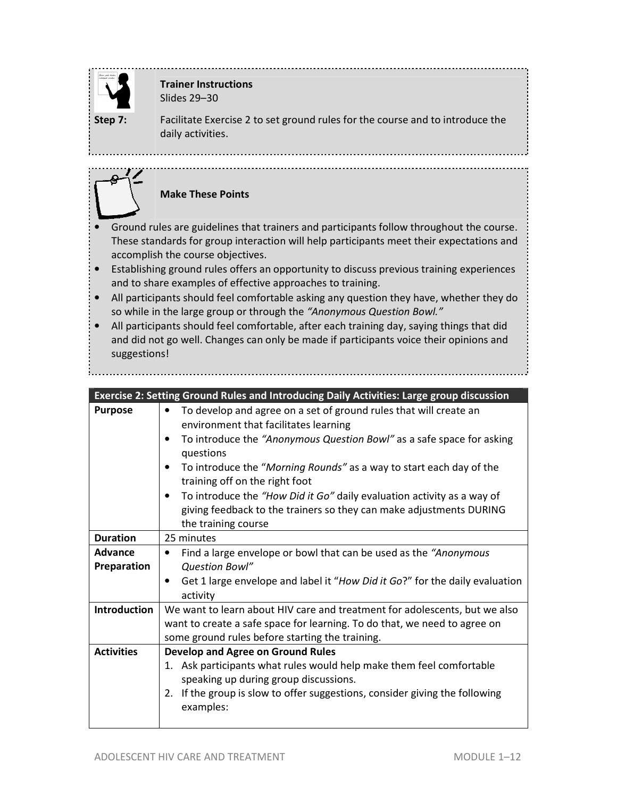

# **Trainer Instructions**

Slides 29–30

. . . . . . . . . . . . . .

**Step 7:** Facilitate Exercise 2 to set ground rules for the course and to introduce the daily activities.

# **Make These Points**

- Ground rules are guidelines that trainers and participants follow throughout the course. These standards for group interaction will help participants meet their expectations and accomplish the course objectives.
- Establishing ground rules offers an opportunity to discuss previous training experiences and to share examples of effective approaches to training.
- All participants should feel comfortable asking any question they have, whether they do so while in the large group or through the *"Anonymous Question Bowl."*
- All participants should feel comfortable, after each training day, saying things that did and did not go well. Changes can only be made if participants voice their opinions and suggestions!

| Exercise 2: Setting Ground Rules and Introducing Daily Activities: Large group discussion |                                                                                                                                                                                                                                                                                                                                                                                                                                                                                                                       |
|-------------------------------------------------------------------------------------------|-----------------------------------------------------------------------------------------------------------------------------------------------------------------------------------------------------------------------------------------------------------------------------------------------------------------------------------------------------------------------------------------------------------------------------------------------------------------------------------------------------------------------|
| <b>Purpose</b>                                                                            | To develop and agree on a set of ground rules that will create an<br>$\bullet$<br>environment that facilitates learning<br>To introduce the "Anonymous Question Bowl" as a safe space for asking<br>٠<br>questions<br>To introduce the "Morning Rounds" as a way to start each day of the<br>٠<br>training off on the right foot<br>To introduce the "How Did it Go" daily evaluation activity as a way of<br>$\bullet$<br>giving feedback to the trainers so they can make adjustments DURING<br>the training course |
| <b>Duration</b>                                                                           | 25 minutes                                                                                                                                                                                                                                                                                                                                                                                                                                                                                                            |
| <b>Advance</b><br>Preparation                                                             | Find a large envelope or bowl that can be used as the "Anonymous"<br>٠<br>Question Bowl"<br>Get 1 large envelope and label it "How Did it Go?" for the daily evaluation<br>activity                                                                                                                                                                                                                                                                                                                                   |
| Introduction                                                                              | We want to learn about HIV care and treatment for adolescents, but we also<br>want to create a safe space for learning. To do that, we need to agree on<br>some ground rules before starting the training.                                                                                                                                                                                                                                                                                                            |
| <b>Activities</b>                                                                         | <b>Develop and Agree on Ground Rules</b><br>1. Ask participants what rules would help make them feel comfortable<br>speaking up during group discussions.<br>If the group is slow to offer suggestions, consider giving the following<br>2.<br>examples:                                                                                                                                                                                                                                                              |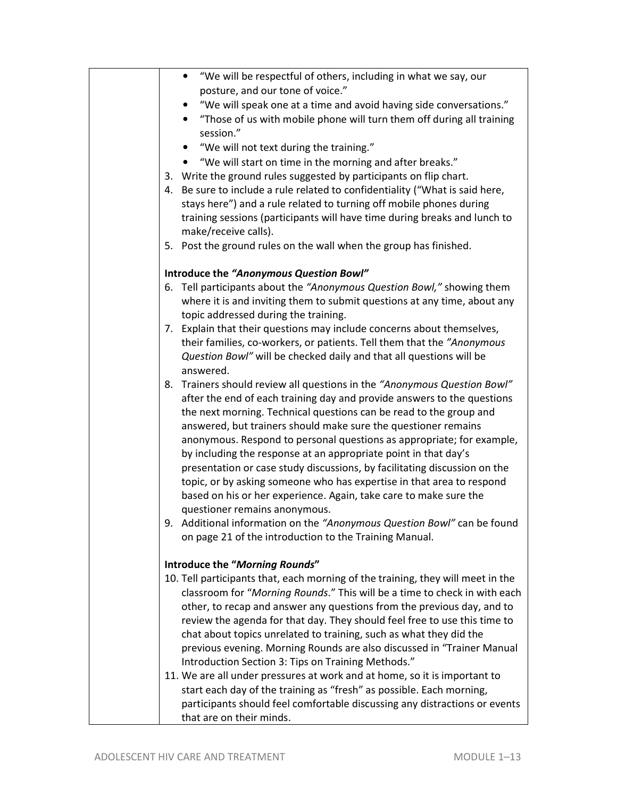| "We will be respectful of others, including in what we say, our<br>$\bullet$                                                                                 |
|--------------------------------------------------------------------------------------------------------------------------------------------------------------|
| posture, and our tone of voice."                                                                                                                             |
| "We will speak one at a time and avoid having side conversations."                                                                                           |
| "Those of us with mobile phone will turn them off during all training<br>session."                                                                           |
| "We will not text during the training."                                                                                                                      |
| "We will start on time in the morning and after breaks."                                                                                                     |
| 3. Write the ground rules suggested by participants on flip chart.                                                                                           |
| 4. Be sure to include a rule related to confidentiality ("What is said here,                                                                                 |
| stays here") and a rule related to turning off mobile phones during                                                                                          |
| training sessions (participants will have time during breaks and lunch to                                                                                    |
| make/receive calls).                                                                                                                                         |
| 5. Post the ground rules on the wall when the group has finished.                                                                                            |
| Introduce the "Anonymous Question Bowl"                                                                                                                      |
| 6. Tell participants about the "Anonymous Question Bowl," showing them                                                                                       |
| where it is and inviting them to submit questions at any time, about any<br>topic addressed during the training.                                             |
| 7. Explain that their questions may include concerns about themselves,                                                                                       |
| their families, co-workers, or patients. Tell them that the "Anonymous                                                                                       |
| Question Bowl" will be checked daily and that all questions will be                                                                                          |
| answered.                                                                                                                                                    |
| 8. Trainers should review all questions in the "Anonymous Question Bowl"                                                                                     |
| after the end of each training day and provide answers to the questions                                                                                      |
| the next morning. Technical questions can be read to the group and                                                                                           |
| answered, but trainers should make sure the questioner remains                                                                                               |
| anonymous. Respond to personal questions as appropriate; for example,                                                                                        |
| by including the response at an appropriate point in that day's                                                                                              |
| presentation or case study discussions, by facilitating discussion on the                                                                                    |
| topic, or by asking someone who has expertise in that area to respond                                                                                        |
| based on his or her experience. Again, take care to make sure the                                                                                            |
| questioner remains anonymous.<br>9. Additional information on the "Anonymous Question Bowl" can be found                                                     |
| on page 21 of the introduction to the Training Manual.                                                                                                       |
|                                                                                                                                                              |
| Introduce the "Morning Rounds"                                                                                                                               |
| 10. Tell participants that, each morning of the training, they will meet in the<br>classroom for "Morning Rounds." This will be a time to check in with each |
| other, to recap and answer any questions from the previous day, and to                                                                                       |
| review the agenda for that day. They should feel free to use this time to                                                                                    |
| chat about topics unrelated to training, such as what they did the                                                                                           |
| previous evening. Morning Rounds are also discussed in "Trainer Manual                                                                                       |
| Introduction Section 3: Tips on Training Methods."                                                                                                           |
| 11. We are all under pressures at work and at home, so it is important to                                                                                    |
| start each day of the training as "fresh" as possible. Each morning,                                                                                         |
| participants should feel comfortable discussing any distractions or events                                                                                   |
| that are on their minds.                                                                                                                                     |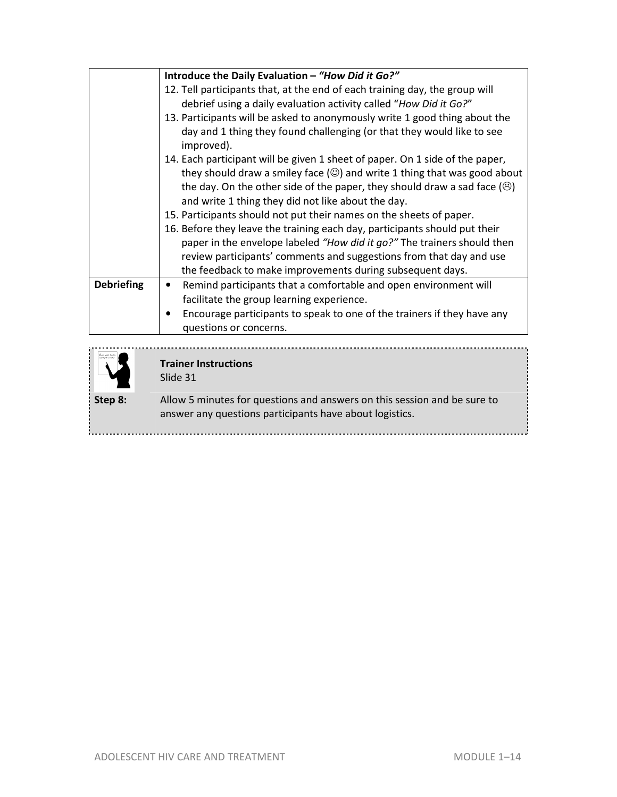|                   | Introduce the Daily Evaluation - "How Did it Go?"                                     |
|-------------------|---------------------------------------------------------------------------------------|
|                   | 12. Tell participants that, at the end of each training day, the group will           |
|                   | debrief using a daily evaluation activity called "How Did it Go?"                     |
|                   | 13. Participants will be asked to anonymously write 1 good thing about the            |
|                   | day and 1 thing they found challenging (or that they would like to see<br>improved).  |
|                   | 14. Each participant will be given 1 sheet of paper. On 1 side of the paper,          |
|                   | they should draw a smiley face $(\circledcirc)$ and write 1 thing that was good about |
|                   | the day. On the other side of the paper, they should draw a sad face $(\odot)$        |
|                   | and write 1 thing they did not like about the day.                                    |
|                   | 15. Participants should not put their names on the sheets of paper.                   |
|                   | 16. Before they leave the training each day, participants should put their            |
|                   | paper in the envelope labeled "How did it go?" The trainers should then               |
|                   | review participants' comments and suggestions from that day and use                   |
|                   | the feedback to make improvements during subsequent days.                             |
| <b>Debriefing</b> | Remind participants that a comfortable and open environment will<br>٠                 |
|                   | facilitate the group learning experience.                                             |
|                   | Encourage participants to speak to one of the trainers if they have any               |
|                   | questions or concerns.                                                                |
|                   |                                                                                       |



# **Trainer Instructions**

Slide 31

**Step 8:** Allow 5 minutes for questions and answers on this session and be sure to answer any questions participants have about logistics.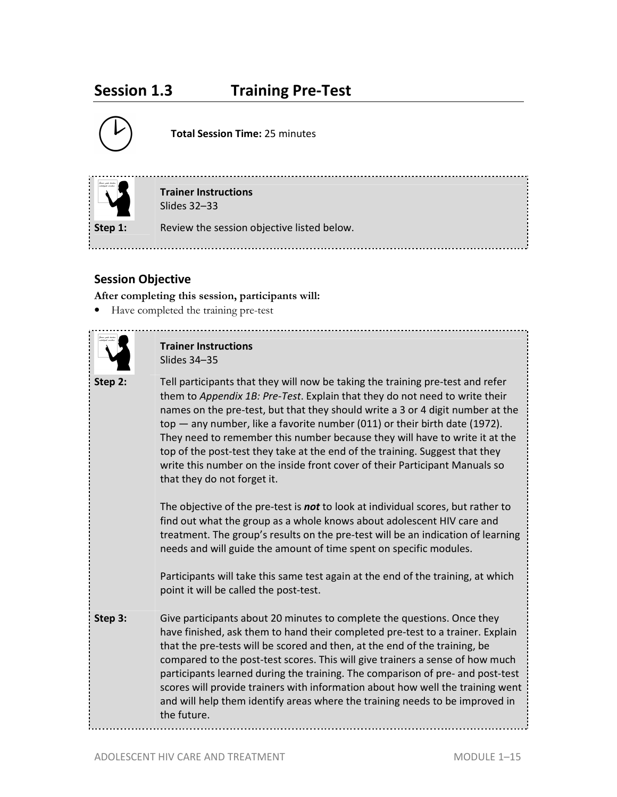# **Session 1.3 Training Pre-Test**



**Total Session Time:** 25 minutes



**Trainer Instructions**  Slides 32–33

**Step 1:** Review the session objective listed below.

# **Session Objective**

**After completing this session, participants will:**

• Have completed the training pre-test



### **Trainer Instructions**  Slides 34–35

**Step 2:** Tell participants that they will now be taking the training pre-test and refer them to *Appendix 1B: Pre-Test*. Explain that they do not need to write their names on the pre-test, but that they should write a 3 or 4 digit number at the top — any number, like a favorite number (011) or their birth date (1972). They need to remember this number because they will have to write it at the top of the post-test they take at the end of the training. Suggest that they write this number on the inside front cover of their Participant Manuals so that they do not forget it.

The objective of the pre-test is *not* to look at individual scores, but rather to find out what the group as a whole knows about adolescent HIV care and treatment. The group's results on the pre-test will be an indication of learning needs and will guide the amount of time spent on specific modules.

Participants will take this same test again at the end of the training, at which point it will be called the post-test.

**Step 3:** Give participants about 20 minutes to complete the questions. Once they have finished, ask them to hand their completed pre-test to a trainer. Explain that the pre-tests will be scored and then, at the end of the training, be compared to the post-test scores. This will give trainers a sense of how much participants learned during the training. The comparison of pre- and post-test scores will provide trainers with information about how well the training went and will help them identify areas where the training needs to be improved in the future.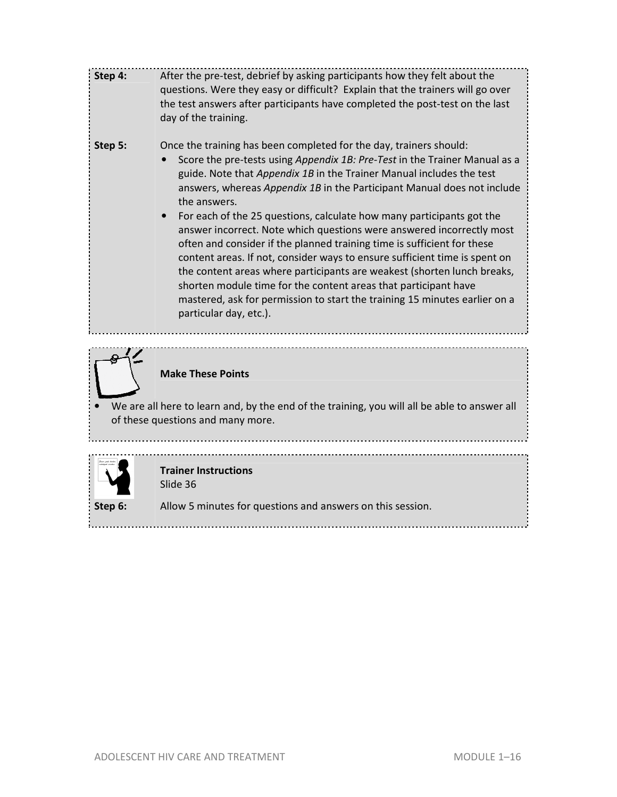| Step 4: | After the pre-test, debrief by asking participants how they felt about the<br>questions. Were they easy or difficult? Explain that the trainers will go over<br>the test answers after participants have completed the post-test on the last<br>day of the training.                                                                                                                                                                                                                                                                                                                                                                                                                                                                                                                                                                                                                 |
|---------|--------------------------------------------------------------------------------------------------------------------------------------------------------------------------------------------------------------------------------------------------------------------------------------------------------------------------------------------------------------------------------------------------------------------------------------------------------------------------------------------------------------------------------------------------------------------------------------------------------------------------------------------------------------------------------------------------------------------------------------------------------------------------------------------------------------------------------------------------------------------------------------|
| Step 5: | Once the training has been completed for the day, trainers should:<br>Score the pre-tests using Appendix 1B: Pre-Test in the Trainer Manual as a<br>guide. Note that Appendix 1B in the Trainer Manual includes the test<br>answers, whereas Appendix 1B in the Participant Manual does not include<br>the answers.<br>For each of the 25 questions, calculate how many participants got the<br>answer incorrect. Note which questions were answered incorrectly most<br>often and consider if the planned training time is sufficient for these<br>content areas. If not, consider ways to ensure sufficient time is spent on<br>the content areas where participants are weakest (shorten lunch breaks,<br>shorten module time for the content areas that participant have<br>mastered, ask for permission to start the training 15 minutes earlier on a<br>particular day, etc.). |
|         | <b>Make These Points</b>                                                                                                                                                                                                                                                                                                                                                                                                                                                                                                                                                                                                                                                                                                                                                                                                                                                             |
|         | We are all here to learn and, by the end of the training, you will all be able to answer all<br>of these questions and many more.                                                                                                                                                                                                                                                                                                                                                                                                                                                                                                                                                                                                                                                                                                                                                    |
|         | <b>Trainer Instructions</b><br>Slide 36                                                                                                                                                                                                                                                                                                                                                                                                                                                                                                                                                                                                                                                                                                                                                                                                                                              |
| Step 6: | Allow 5 minutes for questions and answers on this session.                                                                                                                                                                                                                                                                                                                                                                                                                                                                                                                                                                                                                                                                                                                                                                                                                           |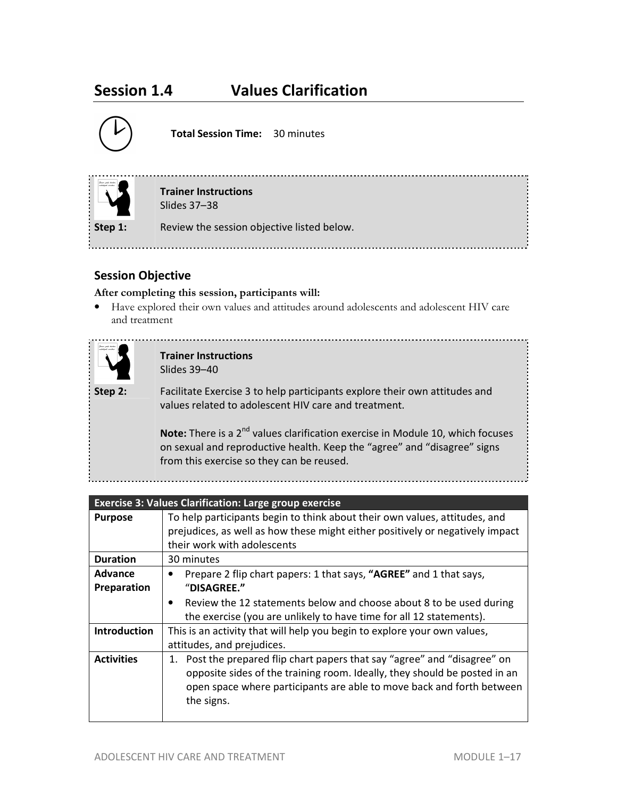# **Session 1.4 Values Clarification**



**Total Session Time:** 30 minutes



**Trainer Instructions**  Slides 37–38

**Step 1:** Review the session objective listed below.

# **Session Objective**

#### **After completing this session, participants will:**

• Have explored their own values and attitudes around adolescents and adolescent HIV care and treatment



**Trainer Instructions**  Slides 39–40

**Step 2:** Facilitate Exercise 3 to help participants explore their own attitudes and values related to adolescent HIV care and treatment.

> Note: There is a 2<sup>nd</sup> values clarification exercise in Module 10, which focuses on sexual and reproductive health. Keep the "agree" and "disagree" signs from this exercise so they can be reused.

----------------------------------

|                               | <b>Exercise 3: Values Clarification: Large group exercise</b>                                                                                                                                                                                 |
|-------------------------------|-----------------------------------------------------------------------------------------------------------------------------------------------------------------------------------------------------------------------------------------------|
| <b>Purpose</b>                | To help participants begin to think about their own values, attitudes, and<br>prejudices, as well as how these might either positively or negatively impact<br>their work with adolescents                                                    |
| <b>Duration</b>               | 30 minutes                                                                                                                                                                                                                                    |
| <b>Advance</b><br>Preparation | Prepare 2 flip chart papers: 1 that says, "AGREE" and 1 that says,<br>"DISAGREE."                                                                                                                                                             |
|                               | Review the 12 statements below and choose about 8 to be used during<br>$\bullet$<br>the exercise (you are unlikely to have time for all 12 statements).                                                                                       |
| <b>Introduction</b>           | This is an activity that will help you begin to explore your own values,<br>attitudes, and prejudices.                                                                                                                                        |
| <b>Activities</b>             | 1. Post the prepared flip chart papers that say "agree" and "disagree" on<br>opposite sides of the training room. Ideally, they should be posted in an<br>open space where participants are able to move back and forth between<br>the signs. |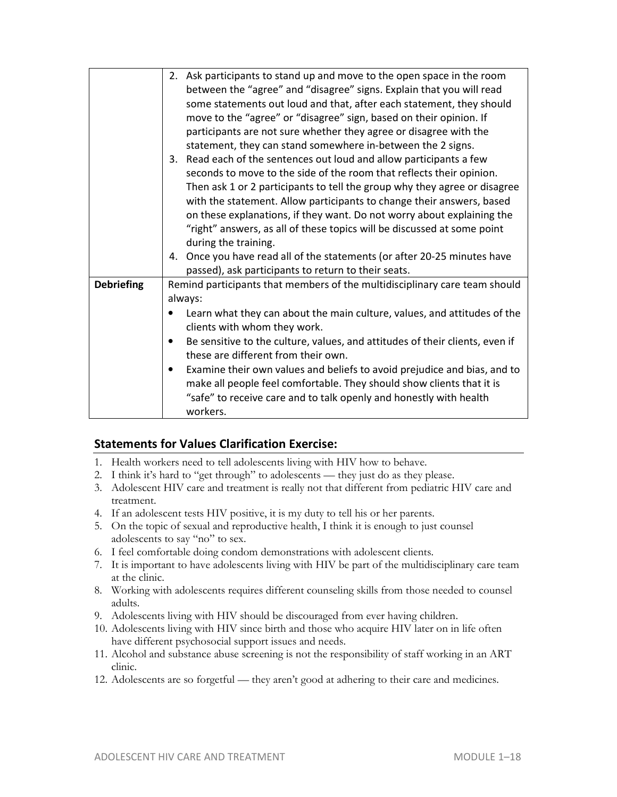|                   | 2. Ask participants to stand up and move to the open space in the room<br>between the "agree" and "disagree" signs. Explain that you will read<br>some statements out loud and that, after each statement, they should<br>move to the "agree" or "disagree" sign, based on their opinion. If<br>participants are not sure whether they agree or disagree with the<br>statement, they can stand somewhere in-between the 2 signs.<br>Read each of the sentences out loud and allow participants a few<br>3.<br>seconds to move to the side of the room that reflects their opinion.<br>Then ask 1 or 2 participants to tell the group why they agree or disagree<br>with the statement. Allow participants to change their answers, based<br>on these explanations, if they want. Do not worry about explaining the<br>"right" answers, as all of these topics will be discussed at some point<br>during the training. |
|-------------------|-----------------------------------------------------------------------------------------------------------------------------------------------------------------------------------------------------------------------------------------------------------------------------------------------------------------------------------------------------------------------------------------------------------------------------------------------------------------------------------------------------------------------------------------------------------------------------------------------------------------------------------------------------------------------------------------------------------------------------------------------------------------------------------------------------------------------------------------------------------------------------------------------------------------------|
|                   | 4. Once you have read all of the statements (or after 20-25 minutes have<br>passed), ask participants to return to their seats.                                                                                                                                                                                                                                                                                                                                                                                                                                                                                                                                                                                                                                                                                                                                                                                       |
| <b>Debriefing</b> | Remind participants that members of the multidisciplinary care team should<br>always:<br>Learn what they can about the main culture, values, and attitudes of the<br>clients with whom they work.<br>Be sensitive to the culture, values, and attitudes of their clients, even if<br>$\bullet$<br>these are different from their own.<br>Examine their own values and beliefs to avoid prejudice and bias, and to<br>$\bullet$<br>make all people feel comfortable. They should show clients that it is<br>"safe" to receive care and to talk openly and honestly with health<br>workers.                                                                                                                                                                                                                                                                                                                             |

## **Statements for Values Clarification Exercise:**

- 1. Health workers need to tell adolescents living with HIV how to behave.
- 2. I think it's hard to "get through" to adolescents they just do as they please.
- 3. Adolescent HIV care and treatment is really not that different from pediatric HIV care and treatment.
- 4. If an adolescent tests HIV positive, it is my duty to tell his or her parents.
- 5. On the topic of sexual and reproductive health, I think it is enough to just counsel adolescents to say "no" to sex.
- 6. I feel comfortable doing condom demonstrations with adolescent clients.
- 7. It is important to have adolescents living with HIV be part of the multidisciplinary care team at the clinic.
- 8. Working with adolescents requires different counseling skills from those needed to counsel adults.
- 9. Adolescents living with HIV should be discouraged from ever having children.
- 10. Adolescents living with HIV since birth and those who acquire HIV later on in life often have different psychosocial support issues and needs.
- 11. Alcohol and substance abuse screening is not the responsibility of staff working in an ART clinic.
- 12. Adolescents are so forgetful they aren't good at adhering to their care and medicines.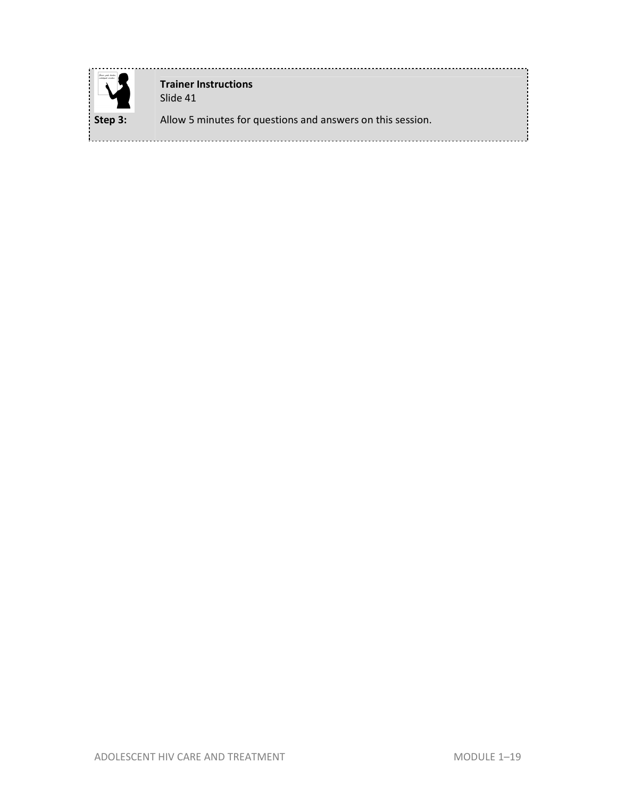

**Trainer Instructions**  Slide 41 **Step 3:** Allow 5 minutes for questions and answers on this session.

L.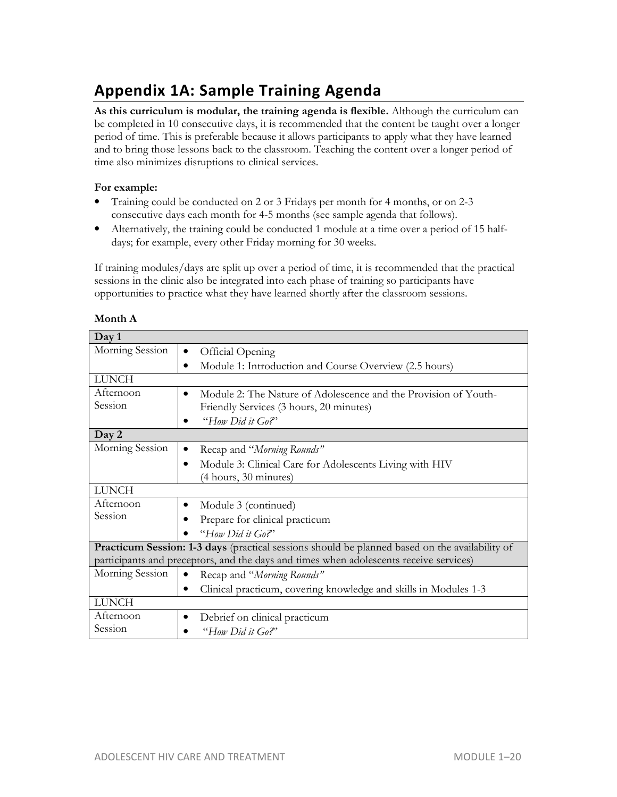# **Appendix 1A: Sample Training Agenda**

**As this curriculum is modular, the training agenda is flexible.** Although the curriculum can be completed in 10 consecutive days, it is recommended that the content be taught over a longer period of time. This is preferable because it allows participants to apply what they have learned and to bring those lessons back to the classroom. Teaching the content over a longer period of time also minimizes disruptions to clinical services.

#### **For example:**

- Training could be conducted on 2 or 3 Fridays per month for 4 months, or on 2-3 consecutive days each month for 4-5 months (see sample agenda that follows).
- Alternatively, the training could be conducted 1 module at a time over a period of 15 halfdays; for example, every other Friday morning for 30 weeks.

If training modules/days are split up over a period of time, it is recommended that the practical sessions in the clinic also be integrated into each phase of training so participants have opportunities to practice what they have learned shortly after the classroom sessions.

| Day 1                                                                                                 |                                                                                        |  |
|-------------------------------------------------------------------------------------------------------|----------------------------------------------------------------------------------------|--|
| Morning Session                                                                                       | Official Opening<br>$\bullet$                                                          |  |
|                                                                                                       | Module 1: Introduction and Course Overview (2.5 hours)<br>$\bullet$                    |  |
| <b>LUNCH</b>                                                                                          |                                                                                        |  |
| Afternoon                                                                                             | Module 2: The Nature of Adolescence and the Provision of Youth-<br>$\bullet$           |  |
| Session                                                                                               | Friendly Services (3 hours, 20 minutes)                                                |  |
|                                                                                                       | "How Did it Go?"                                                                       |  |
| Day 2                                                                                                 |                                                                                        |  |
| Morning Session                                                                                       | Recap and "Morning Rounds"<br>٠                                                        |  |
|                                                                                                       | Module 3: Clinical Care for Adolescents Living with HIV<br>$\bullet$                   |  |
|                                                                                                       | (4 hours, 30 minutes)                                                                  |  |
| <b>LUNCH</b>                                                                                          |                                                                                        |  |
| Afternoon                                                                                             | Module 3 (continued)<br>$\bullet$                                                      |  |
| Session                                                                                               | Prepare for clinical practicum                                                         |  |
|                                                                                                       | "How Did it Go?"                                                                       |  |
| <b>Practicum Session: 1-3 days</b> (practical sessions should be planned based on the availability of |                                                                                        |  |
|                                                                                                       | participants and preceptors, and the days and times when adolescents receive services) |  |
| Morning Session                                                                                       | Recap and "Morning Rounds"<br>$\bullet$                                                |  |
|                                                                                                       | Clinical practicum, covering knowledge and skills in Modules 1-3<br>$\bullet$          |  |
| <b>LUNCH</b>                                                                                          |                                                                                        |  |
| Afternoon                                                                                             | Debrief on clinical practicum<br>٠                                                     |  |
| Session                                                                                               | "How Did it Go?"                                                                       |  |

| Month A |
|---------|
|---------|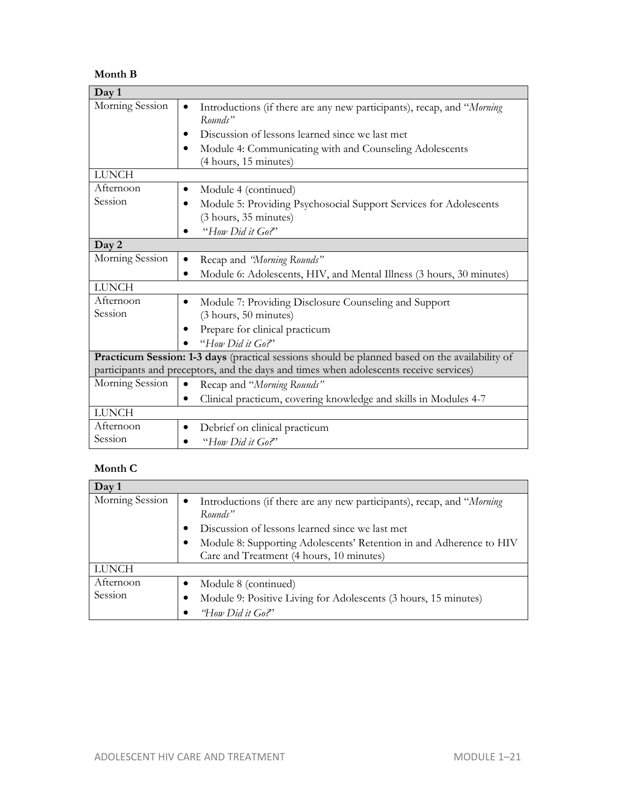#### **Month B**

| Day 1                                                                                          |                                                                                                         |  |
|------------------------------------------------------------------------------------------------|---------------------------------------------------------------------------------------------------------|--|
| Morning Session                                                                                | Introductions (if there are any new participants), recap, and "Morning<br>$\bullet$<br>Rounds"          |  |
|                                                                                                | Discussion of lessons learned since we last met                                                         |  |
|                                                                                                | Module 4: Communicating with and Counseling Adolescents<br>(4 hours, 15 minutes)                        |  |
| <b>LUNCH</b>                                                                                   |                                                                                                         |  |
| Afternoon                                                                                      | Module 4 (continued)                                                                                    |  |
| Session                                                                                        | Module 5: Providing Psychosocial Support Services for Adolescents<br>$\bullet$<br>(3 hours, 35 minutes) |  |
|                                                                                                | "How Did it Go?"                                                                                        |  |
| Day 2                                                                                          |                                                                                                         |  |
| Morning Session                                                                                | Recap and 'Morning Rounds"<br>٠                                                                         |  |
|                                                                                                | Module 6: Adolescents, HIV, and Mental Illness (3 hours, 30 minutes)<br>$\bullet$                       |  |
| <b>LUNCH</b>                                                                                   |                                                                                                         |  |
| Afternoon                                                                                      | Module 7: Providing Disclosure Counseling and Support<br>$\bullet$                                      |  |
| Session                                                                                        | (3 hours, 50 minutes)                                                                                   |  |
|                                                                                                | Prepare for clinical practicum                                                                          |  |
|                                                                                                | "How Did it Go?"                                                                                        |  |
| Practicum Session: 1-3 days (practical sessions should be planned based on the availability of |                                                                                                         |  |
|                                                                                                | participants and preceptors, and the days and times when adolescents receive services)                  |  |
| Morning Session                                                                                | Recap and "Morning Rounds"<br>$\bullet$                                                                 |  |
|                                                                                                | Clinical practicum, covering knowledge and skills in Modules 4-7<br>$\bullet$                           |  |
| <b>LUNCH</b>                                                                                   |                                                                                                         |  |
| Afternoon                                                                                      | Debrief on clinical practicum<br>$\bullet$                                                              |  |
| Session                                                                                        | "How Did it Go?"                                                                                        |  |

# **Month C**

| Day 1           |                                                                                        |
|-----------------|----------------------------------------------------------------------------------------|
| Morning Session | Introductions (if there are any new participants), recap, and "Morning<br>٠<br>Rounds" |
|                 | Discussion of lessons learned since we last met                                        |
|                 | Module 8: Supporting Adolescents' Retention in and Adherence to HIV                    |
|                 | Care and Treatment (4 hours, 10 minutes)                                               |
| <b>LUNCH</b>    |                                                                                        |
| Afternoon       | Module 8 (continued)                                                                   |
| Session         | Module 9: Positive Living for Adolescents (3 hours, 15 minutes)                        |
|                 | "How Did it Go?"                                                                       |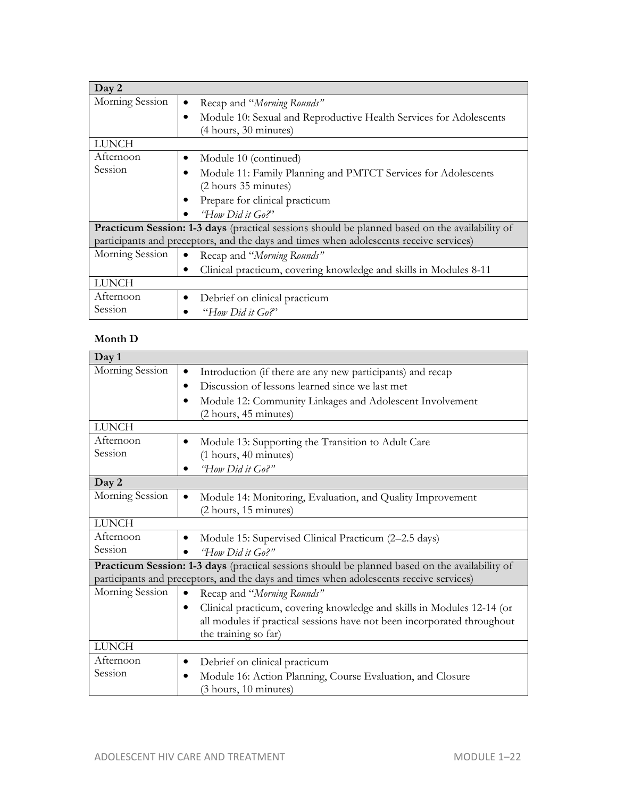| Day 2                                                                                                                                                                                           |                                                                                                          |  |  |
|-------------------------------------------------------------------------------------------------------------------------------------------------------------------------------------------------|----------------------------------------------------------------------------------------------------------|--|--|
| Morning Session                                                                                                                                                                                 | Recap and "Morning Rounds"<br>$\bullet$                                                                  |  |  |
|                                                                                                                                                                                                 | Module 10: Sexual and Reproductive Health Services for Adolescents<br>$\bullet$<br>(4 hours, 30 minutes) |  |  |
| <b>LUNCH</b>                                                                                                                                                                                    |                                                                                                          |  |  |
| Afternoon                                                                                                                                                                                       | Module 10 (continued)<br>٠                                                                               |  |  |
| Session                                                                                                                                                                                         | Module 11: Family Planning and PMTCT Services for Adolescents<br>(2 hours 35 minutes)                    |  |  |
|                                                                                                                                                                                                 | Prepare for clinical practicum<br>٠                                                                      |  |  |
|                                                                                                                                                                                                 | "How Did it Go?"                                                                                         |  |  |
| <b>Practicum Session: 1-3 days</b> (practical sessions should be planned based on the availability of<br>participants and preceptors, and the days and times when adolescents receive services) |                                                                                                          |  |  |
| Morning Session                                                                                                                                                                                 | Recap and "Morning Rounds"                                                                               |  |  |
|                                                                                                                                                                                                 | Clinical practicum, covering knowledge and skills in Modules 8-11<br>$\bullet$                           |  |  |
| <b>LUNCH</b>                                                                                                                                                                                    |                                                                                                          |  |  |
| Afternoon                                                                                                                                                                                       | Debrief on clinical practicum<br>٠                                                                       |  |  |
| Session                                                                                                                                                                                         | "How Did it Go?"                                                                                         |  |  |

#### **Month D**

| Day 1                                                                                          |                                                                                        |  |
|------------------------------------------------------------------------------------------------|----------------------------------------------------------------------------------------|--|
| Morning Session                                                                                | Introduction (if there are any new participants) and recap<br>$\bullet$                |  |
|                                                                                                | Discussion of lessons learned since we last met<br>٠                                   |  |
|                                                                                                | Module 12: Community Linkages and Adolescent Involvement                               |  |
|                                                                                                | (2 hours, 45 minutes)                                                                  |  |
| <b>LUNCH</b>                                                                                   |                                                                                        |  |
| Afternoon                                                                                      | Module 13: Supporting the Transition to Adult Care                                     |  |
| Session                                                                                        | (1 hours, 40 minutes)                                                                  |  |
|                                                                                                | "How Did it Go?"                                                                       |  |
| Day 2                                                                                          |                                                                                        |  |
| Morning Session                                                                                | Module 14: Monitoring, Evaluation, and Quality Improvement<br>$\bullet$                |  |
|                                                                                                | (2 hours, 15 minutes)                                                                  |  |
| <b>LUNCH</b>                                                                                   |                                                                                        |  |
| Afternoon                                                                                      | Module 15: Supervised Clinical Practicum (2-2.5 days)                                  |  |
| Session                                                                                        | "How Did it Go?"                                                                       |  |
| Practicum Session: 1-3 days (practical sessions should be planned based on the availability of |                                                                                        |  |
|                                                                                                | participants and preceptors, and the days and times when adolescents receive services) |  |
| Morning Session                                                                                | Recap and "Morning Rounds"<br>$\bullet$                                                |  |
|                                                                                                | Clinical practicum, covering knowledge and skills in Modules 12-14 (or<br>$\bullet$    |  |
|                                                                                                | all modules if practical sessions have not been incorporated throughout                |  |
|                                                                                                | the training so far)                                                                   |  |
| <b>LUNCH</b>                                                                                   |                                                                                        |  |
| Afternoon                                                                                      | Debrief on clinical practicum<br>٠                                                     |  |
| Session                                                                                        | Module 16: Action Planning, Course Evaluation, and Closure<br>$\bullet$                |  |
|                                                                                                | (3 hours, 10 minutes)                                                                  |  |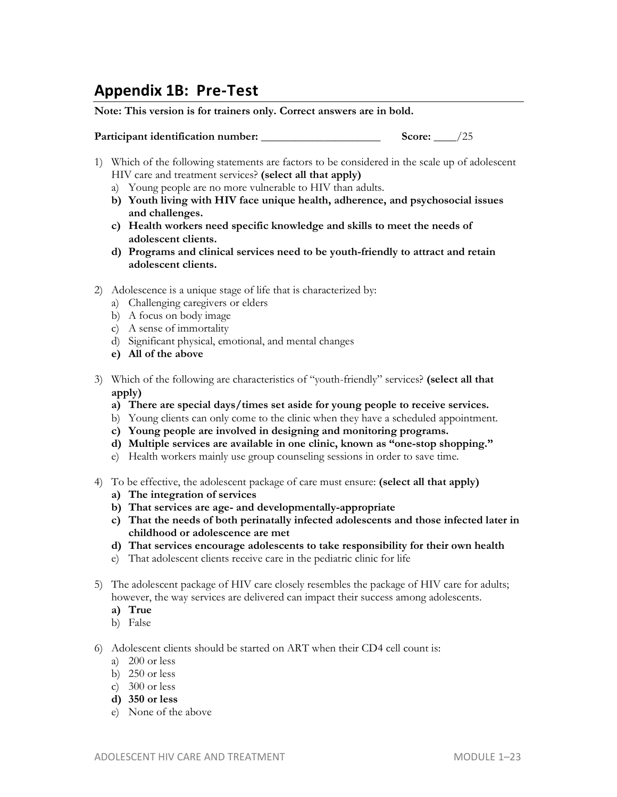# **Appendix 1B: Pre-Test**

**Note: This version is for trainers only. Correct answers are in bold.** 

| Participant identification number: | Score: |  |  |
|------------------------------------|--------|--|--|
|------------------------------------|--------|--|--|

- 1) Which of the following statements are factors to be considered in the scale up of adolescent HIV care and treatment services? **(select all that apply)**
	- a) Young people are no more vulnerable to HIV than adults.
	- **b) Youth living with HIV face unique health, adherence, and psychosocial issues and challenges.**
	- **c) Health workers need specific knowledge and skills to meet the needs of adolescent clients.**
	- **d) Programs and clinical services need to be youth-friendly to attract and retain adolescent clients.**
- 2) Adolescence is a unique stage of life that is characterized by:
	- a) Challenging caregivers or elders
	- b) A focus on body image
	- c) A sense of immortality
	- d) Significant physical, emotional, and mental changes
	- **e) All of the above**
- 3) Which of the following are characteristics of "youth-friendly" services? **(select all that apply)** 
	- **a) There are special days/times set aside for young people to receive services.**
	- b) Young clients can only come to the clinic when they have a scheduled appointment.
	- **c) Young people are involved in designing and monitoring programs.**
	- **d) Multiple services are available in one clinic, known as "one-stop shopping."**
	- e) Health workers mainly use group counseling sessions in order to save time.
- 4) To be effective, the adolescent package of care must ensure: **(select all that apply)**
	- **a) The integration of services**
	- **b) That services are age- and developmentally-appropriate**
	- **c) That the needs of both perinatally infected adolescents and those infected later in childhood or adolescence are met**
	- **d) That services encourage adolescents to take responsibility for their own health**
	- e) That adolescent clients receive care in the pediatric clinic for life
- 5) The adolescent package of HIV care closely resembles the package of HIV care for adults; however, the way services are delivered can impact their success among adolescents.
	- **a) True**
	- b) False
- 6) Adolescent clients should be started on ART when their CD4 cell count is:
	- a) 200 or less
	- b) 250 or less
	- c) 300 or less
	- **d) 350 or less**
	- e) None of the above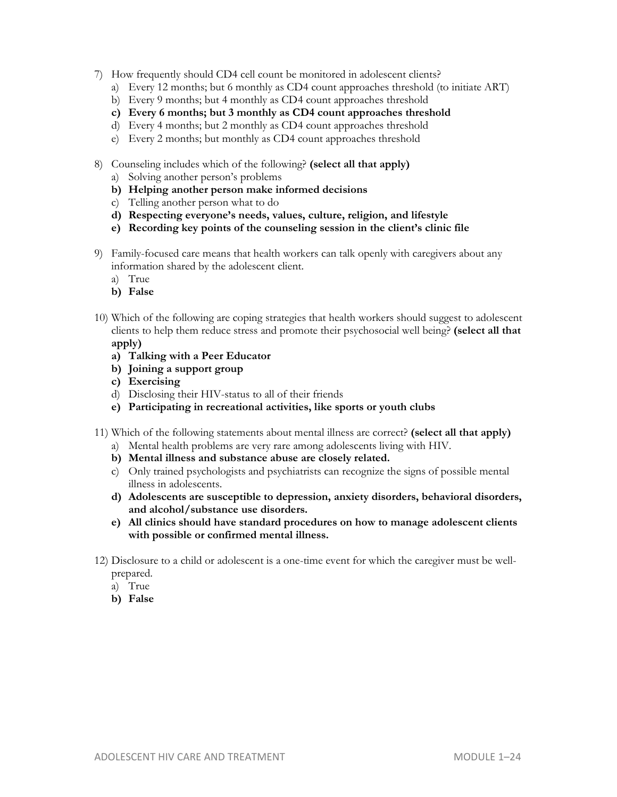- 7) How frequently should CD4 cell count be monitored in adolescent clients?
	- a) Every 12 months; but 6 monthly as CD4 count approaches threshold (to initiate ART)
	- b) Every 9 months; but 4 monthly as CD4 count approaches threshold
	- **c) Every 6 months; but 3 monthly as CD4 count approaches threshold**
	- d) Every 4 months; but 2 monthly as CD4 count approaches threshold
	- e) Every 2 months; but monthly as CD4 count approaches threshold
- 8) Counseling includes which of the following? **(select all that apply)**
	- a) Solving another person's problems
	- **b) Helping another person make informed decisions**
	- c) Telling another person what to do
	- **d) Respecting everyone's needs, values, culture, religion, and lifestyle**
	- **e) Recording key points of the counseling session in the client's clinic file**
- 9) Family-focused care means that health workers can talk openly with caregivers about any information shared by the adolescent client.
	- a) True
	- **b) False**
- 10) Which of the following are coping strategies that health workers should suggest to adolescent clients to help them reduce stress and promote their psychosocial well being? **(select all that apply)** 
	- **a) Talking with a Peer Educator**
	- **b) Joining a support group**
	- **c) Exercising**
	- d) Disclosing their HIV-status to all of their friends
	- **e) Participating in recreational activities, like sports or youth clubs**
- 11) Which of the following statements about mental illness are correct? **(select all that apply)**
	- a) Mental health problems are very rare among adolescents living with HIV.
	- **b) Mental illness and substance abuse are closely related.**
	- c) Only trained psychologists and psychiatrists can recognize the signs of possible mental illness in adolescents.
	- **d) Adolescents are susceptible to depression, anxiety disorders, behavioral disorders, and alcohol/substance use disorders.**
	- **e) All clinics should have standard procedures on how to manage adolescent clients with possible or confirmed mental illness.**
- 12) Disclosure to a child or adolescent is a one-time event for which the caregiver must be wellprepared.
	- a) True
	- **b) False**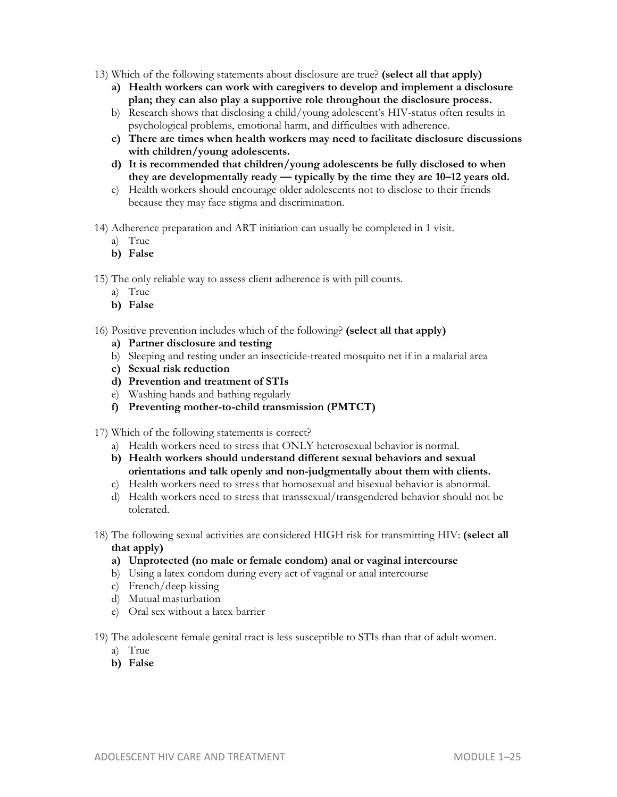- 13) Which of the following statements about disclosure are true? **(select all that apply)**
	- **a) Health workers can work with caregivers to develop and implement a disclosure plan; they can also play a supportive role throughout the disclosure process.**
	- b) Research shows that disclosing a child/young adolescent's HIV-status often results in psychological problems, emotional harm, and difficulties with adherence.
	- **c) There are times when health workers may need to facilitate disclosure discussions with children/young adolescents.**
	- **d) It is recommended that children/young adolescents be fully disclosed to when they are developmentally ready — typically by the time they are 10–12 years old.**
	- e) Health workers should encourage older adolescents not to disclose to their friends because they may face stigma and discrimination.
- 14) Adherence preparation and ART initiation can usually be completed in 1 visit.
	- a) True
	- **b) False**

15) The only reliable way to assess client adherence is with pill counts.

- a) True
- **b) False**
- 16) Positive prevention includes which of the following? **(select all that apply)**
	- **a) Partner disclosure and testing**
	- b) Sleeping and resting under an insecticide-treated mosquito net if in a malarial area
	- **c) Sexual risk reduction**
	- **d) Prevention and treatment of STIs**
	- e) Washing hands and bathing regularly
	- **f) Preventing mother-to-child transmission (PMTCT)**
- 17) Which of the following statements is correct?
	- a) Health workers need to stress that ONLY heterosexual behavior is normal.
	- **b) Health workers should understand different sexual behaviors and sexual orientations and talk openly and non-judgmentally about them with clients.**
	- c) Health workers need to stress that homosexual and bisexual behavior is abnormal.
	- d) Health workers need to stress that transsexual/transgendered behavior should not be tolerated.
- 18) The following sexual activities are considered HIGH risk for transmitting HIV: **(select all that apply)** 
	- **a) Unprotected (no male or female condom) anal or vaginal intercourse**
	- b) Using a latex condom during every act of vaginal or anal intercourse
	- c) French/deep kissing
	- d) Mutual masturbation
	- e) Oral sex without a latex barrier
- 19) The adolescent female genital tract is less susceptible to STIs than that of adult women.
	- a) True
	- **b) False**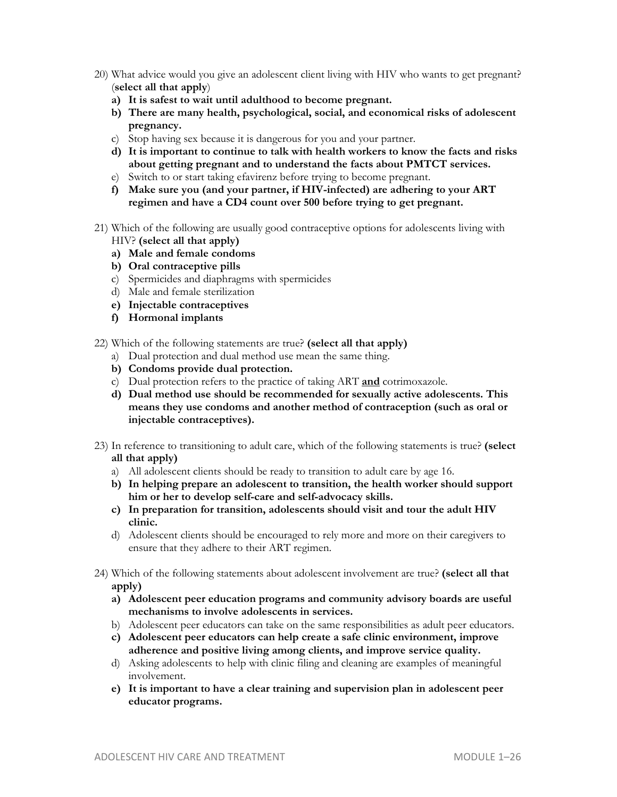- 20) What advice would you give an adolescent client living with HIV who wants to get pregnant? (**select all that apply**)
	- **a) It is safest to wait until adulthood to become pregnant.**
	- **b) There are many health, psychological, social, and economical risks of adolescent pregnancy.**
	- c) Stop having sex because it is dangerous for you and your partner.
	- **d) It is important to continue to talk with health workers to know the facts and risks about getting pregnant and to understand the facts about PMTCT services.**
	- e) Switch to or start taking efavirenz before trying to become pregnant.
	- **f) Make sure you (and your partner, if HIV-infected) are adhering to your ART regimen and have a CD4 count over 500 before trying to get pregnant.**
- 21) Which of the following are usually good contraceptive options for adolescents living with HIV? **(select all that apply)**
	- **a) Male and female condoms**
	- **b) Oral contraceptive pills**
	- c) Spermicides and diaphragms with spermicides
	- d) Male and female sterilization
	- **e) Injectable contraceptives**
	- **f) Hormonal implants**
- 22) Which of the following statements are true? **(select all that apply)**
	- a) Dual protection and dual method use mean the same thing.
	- **b) Condoms provide dual protection.**
	- c) Dual protection refers to the practice of taking ART **and** cotrimoxazole.
	- **d) Dual method use should be recommended for sexually active adolescents. This means they use condoms and another method of contraception (such as oral or injectable contraceptives).**
- 23) In reference to transitioning to adult care, which of the following statements is true? **(select all that apply)** 
	- a) All adolescent clients should be ready to transition to adult care by age 16.
	- **b) In helping prepare an adolescent to transition, the health worker should support him or her to develop self-care and self-advocacy skills.**
	- **c) In preparation for transition, adolescents should visit and tour the adult HIV clinic.**
	- d) Adolescent clients should be encouraged to rely more and more on their caregivers to ensure that they adhere to their ART regimen.
- 24) Which of the following statements about adolescent involvement are true? **(select all that apply)** 
	- **a) Adolescent peer education programs and community advisory boards are useful mechanisms to involve adolescents in services.**
	- b) Adolescent peer educators can take on the same responsibilities as adult peer educators.
	- **c) Adolescent peer educators can help create a safe clinic environment, improve adherence and positive living among clients, and improve service quality.**
	- d) Asking adolescents to help with clinic filing and cleaning are examples of meaningful involvement.
	- **e) It is important to have a clear training and supervision plan in adolescent peer educator programs.**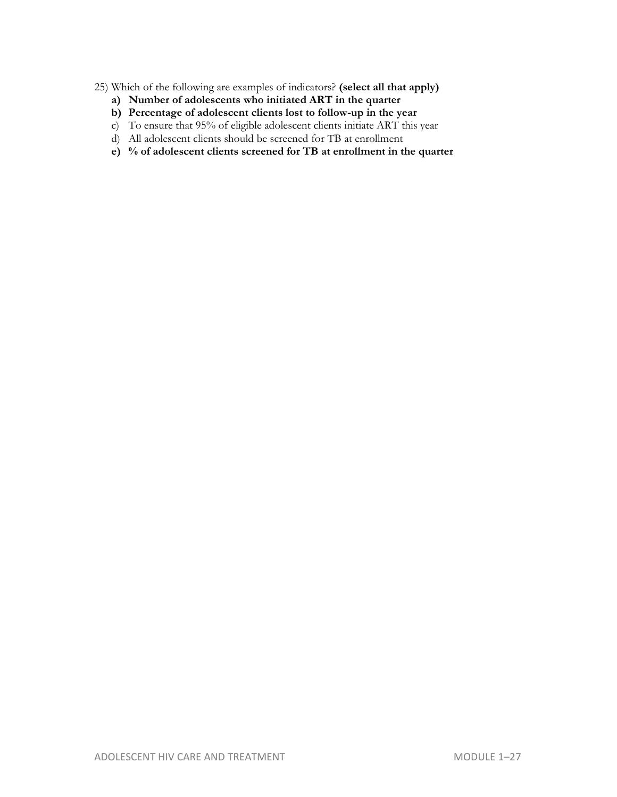- 25) Which of the following are examples of indicators? **(select all that apply)**
	- **a) Number of adolescents who initiated ART in the quarter**
	- **b) Percentage of adolescent clients lost to follow-up in the year**
	- c) To ensure that 95% of eligible adolescent clients initiate ART this year
	- d) All adolescent clients should be screened for TB at enrollment
	- **e) % of adolescent clients screened for TB at enrollment in the quarter**